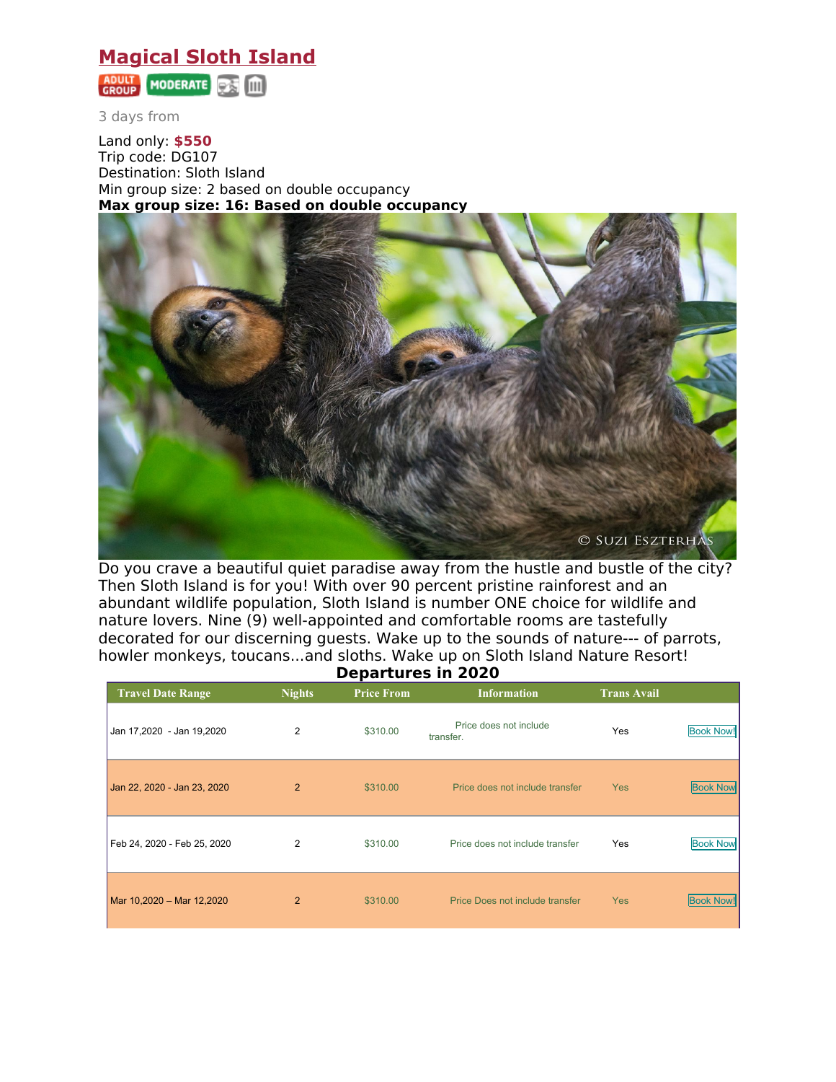## **Magical Sloth Island**



3 days from

Land only: **\$550** Trip code: DG107 Destination: Sloth Island Min group size: 2 based on double occupancy **Max group size: 16: Based on double occupancy**



Do you crave a beautiful quiet paradise away from the hustle and bustle of the city? Then Sloth Island is for you! With over 90 percent pristine rainforest and an abundant wildlife population, Sloth Island is number ONE choice for wildlife and nature lovers. Nine (9) well-appointed and comfortable rooms are tastefully decorated for our discerning guests. Wake up to the sounds of nature--- of parrots, howler monkeys, toucans...and sloths. Wake up on Sloth Island Nature Resort! **Departures in 2020**

| PENGI LUI ES III EULU       |                |                   |                                     |                    |                  |  |  |  |  |
|-----------------------------|----------------|-------------------|-------------------------------------|--------------------|------------------|--|--|--|--|
| <b>Travel Date Range</b>    | <b>Nights</b>  | <b>Price From</b> | <b>Information</b>                  | <b>Trans Avail</b> |                  |  |  |  |  |
| Jan 17,2020 - Jan 19,2020   | 2              | \$310.00          | Price does not include<br>transfer. | Yes                | <b>Book Now!</b> |  |  |  |  |
| Jan 22, 2020 - Jan 23, 2020 | $\overline{2}$ | \$310.00          | Price does not include transfer     | <b>Yes</b>         | <b>Book Now</b>  |  |  |  |  |
| Feb 24, 2020 - Feb 25, 2020 | 2              | \$310.00          | Price does not include transfer     | Yes                | <b>Book Now</b>  |  |  |  |  |
| Mar 10,2020 - Mar 12,2020   | $\overline{2}$ | \$310.00          | Price Does not include transfer     | <b>Yes</b>         | <b>Book Now!</b> |  |  |  |  |